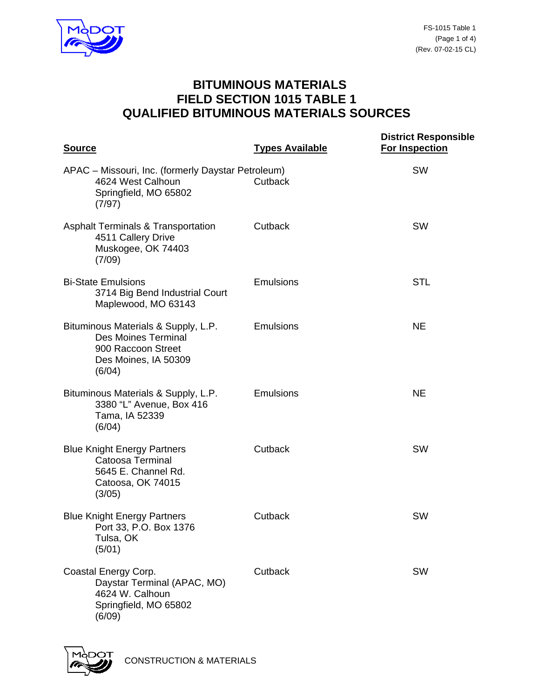

## **BITUMINOUS MATERIALS FIELD SECTION 1015 TABLE 1 QUALIFIED BITUMINOUS MATERIALS SOURCES**

| <b>Source</b>                                                                                                             | <b>Types Available</b> | <b>District Responsible</b><br><b>For Inspection</b> |
|---------------------------------------------------------------------------------------------------------------------------|------------------------|------------------------------------------------------|
| APAC - Missouri, Inc. (formerly Daystar Petroleum)<br>4624 West Calhoun<br>Springfield, MO 65802<br>(7/97)                | Cutback                | <b>SW</b>                                            |
| <b>Asphalt Terminals &amp; Transportation</b><br>4511 Callery Drive<br>Muskogee, OK 74403<br>(7/09)                       | Cutback                | <b>SW</b>                                            |
| <b>Bi-State Emulsions</b><br>3714 Big Bend Industrial Court<br>Maplewood, MO 63143                                        | <b>Emulsions</b>       | <b>STL</b>                                           |
| Bituminous Materials & Supply, L.P.<br><b>Des Moines Terminal</b><br>900 Raccoon Street<br>Des Moines, IA 50309<br>(6/04) | <b>Emulsions</b>       | <b>NE</b>                                            |
| Bituminous Materials & Supply, L.P.<br>3380 "L" Avenue, Box 416<br>Tama, IA 52339<br>(6/04)                               | <b>Emulsions</b>       | <b>NE</b>                                            |
| <b>Blue Knight Energy Partners</b><br>Catoosa Terminal<br>5645 E. Channel Rd.<br>Catoosa, OK 74015<br>(3/05)              | Cutback                | <b>SW</b>                                            |
| <b>Blue Knight Energy Partners</b><br>Port 33, P.O. Box 1376<br>Tulsa, OK<br>(5/01)                                       | Cutback                | SW                                                   |
| Coastal Energy Corp.<br>Daystar Terminal (APAC, MO)<br>4624 W. Calhoun<br>Springfield, MO 65802<br>(6/09)                 | Cutback                | <b>SW</b>                                            |

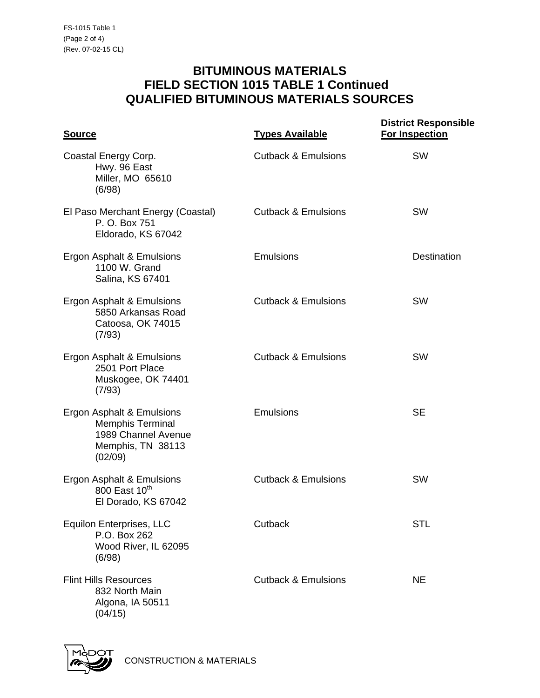## **BITUMINOUS MATERIALS FIELD SECTION 1015 TABLE 1 Continued QUALIFIED BITUMINOUS MATERIALS SOURCES**

| <u>Source</u>                                                                                               | <b>Types Available</b>         | <b>District Responsible</b><br><b>For Inspection</b> |
|-------------------------------------------------------------------------------------------------------------|--------------------------------|------------------------------------------------------|
| Coastal Energy Corp.<br>Hwy. 96 East<br>Miller, MO 65610<br>(6/98)                                          | <b>Cutback &amp; Emulsions</b> | <b>SW</b>                                            |
| El Paso Merchant Energy (Coastal)<br>P. O. Box 751<br>Eldorado, KS 67042                                    | <b>Cutback &amp; Emulsions</b> | <b>SW</b>                                            |
| Ergon Asphalt & Emulsions<br>1100 W. Grand<br>Salina, KS 67401                                              | Emulsions                      | <b>Destination</b>                                   |
| Ergon Asphalt & Emulsions<br>5850 Arkansas Road<br>Catoosa, OK 74015<br>(7/93)                              | <b>Cutback &amp; Emulsions</b> | <b>SW</b>                                            |
| Ergon Asphalt & Emulsions<br>2501 Port Place<br>Muskogee, OK 74401<br>(7/93)                                | <b>Cutback &amp; Emulsions</b> | <b>SW</b>                                            |
| Ergon Asphalt & Emulsions<br><b>Memphis Terminal</b><br>1989 Channel Avenue<br>Memphis, TN 38113<br>(02/09) | <b>Emulsions</b>               | <b>SE</b>                                            |
| Ergon Asphalt & Emulsions<br>800 East 10th<br>El Dorado, KS 67042                                           | <b>Cutback &amp; Emulsions</b> | SW                                                   |
| Equilon Enterprises, LLC<br>P.O. Box 262<br>Wood River, IL 62095<br>(6/98)                                  | Cutback                        | <b>STL</b>                                           |
| <b>Flint Hills Resources</b><br>832 North Main<br>Algona, IA 50511<br>(04/15)                               | <b>Cutback &amp; Emulsions</b> | <b>NE</b>                                            |

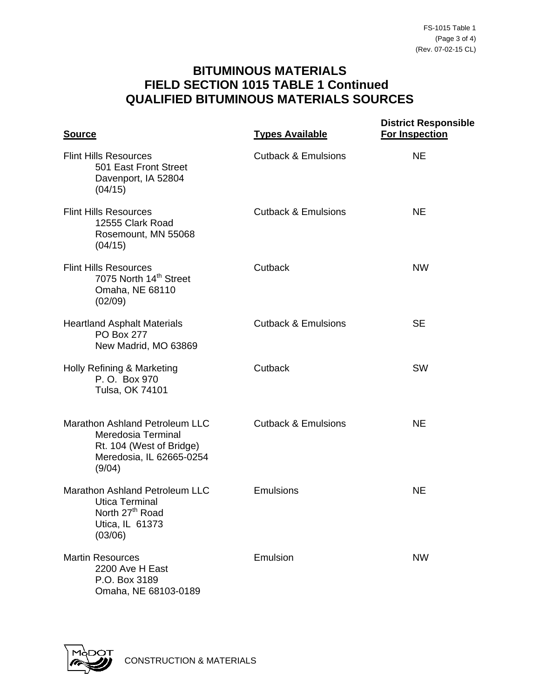## **BITUMINOUS MATERIALS FIELD SECTION 1015 TABLE 1 Continued QUALIFIED BITUMINOUS MATERIALS SOURCES**

| <b>Source</b>                                                                                                               | <b>Types Available</b>         | <b>District Responsible</b><br><b>For Inspection</b> |
|-----------------------------------------------------------------------------------------------------------------------------|--------------------------------|------------------------------------------------------|
| <b>Flint Hills Resources</b><br>501 East Front Street<br>Davenport, IA 52804<br>(04/15)                                     | <b>Cutback &amp; Emulsions</b> | <b>NE</b>                                            |
| <b>Flint Hills Resources</b><br>12555 Clark Road<br>Rosemount, MN 55068<br>(04/15)                                          | <b>Cutback &amp; Emulsions</b> | <b>NE</b>                                            |
| <b>Flint Hills Resources</b><br>7075 North 14 <sup>th</sup> Street<br>Omaha, NE 68110<br>(02/09)                            | Cutback                        | <b>NW</b>                                            |
| <b>Heartland Asphalt Materials</b><br><b>PO Box 277</b><br>New Madrid, MO 63869                                             | <b>Cutback &amp; Emulsions</b> | <b>SE</b>                                            |
| Holly Refining & Marketing<br>P.O. Box 970<br>Tulsa, OK 74101                                                               | Cutback                        | <b>SW</b>                                            |
| Marathon Ashland Petroleum LLC<br>Meredosia Terminal<br>Rt. 104 (West of Bridge)<br>Meredosia, IL 62665-0254<br>(9/04)      | <b>Cutback &amp; Emulsions</b> | <b>NE</b>                                            |
| <b>Marathon Ashland Petroleum LLC</b><br><b>Utica Terminal</b><br>North 27 <sup>th</sup> Road<br>Utica, IL 61373<br>(03/06) | Emulsions                      | NE                                                   |
| <b>Martin Resources</b><br>2200 Ave H East<br>P.O. Box 3189<br>Omaha, NE 68103-0189                                         | Emulsion                       | <b>NW</b>                                            |